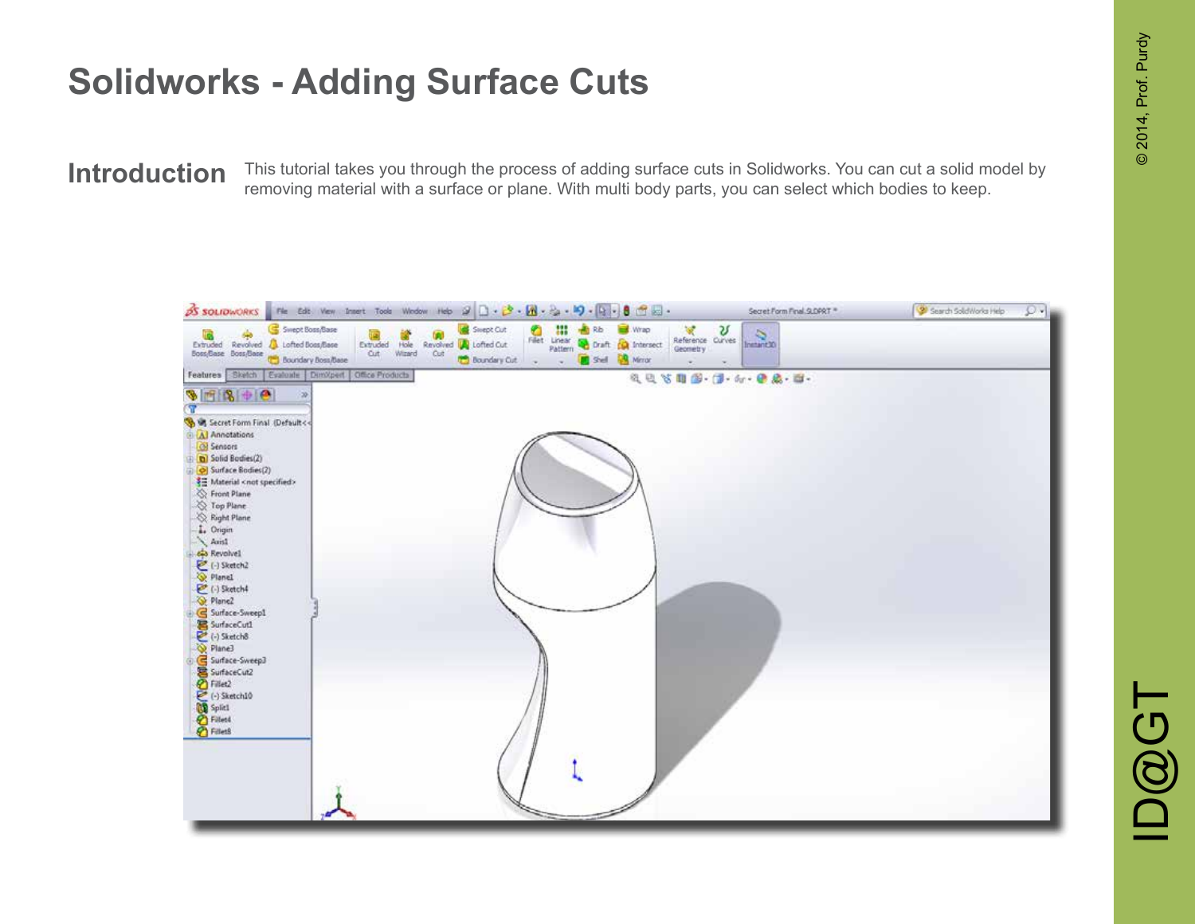This tutorial takes you through the process of adding surface cuts in Solidworks. You can cut a solid model by **Introduction** This tutorial takes you through the process of adding surface cuts in Solidworks. You can cut a solid mention removing material with a surface or plane. With multi body parts, you can select which bodies to

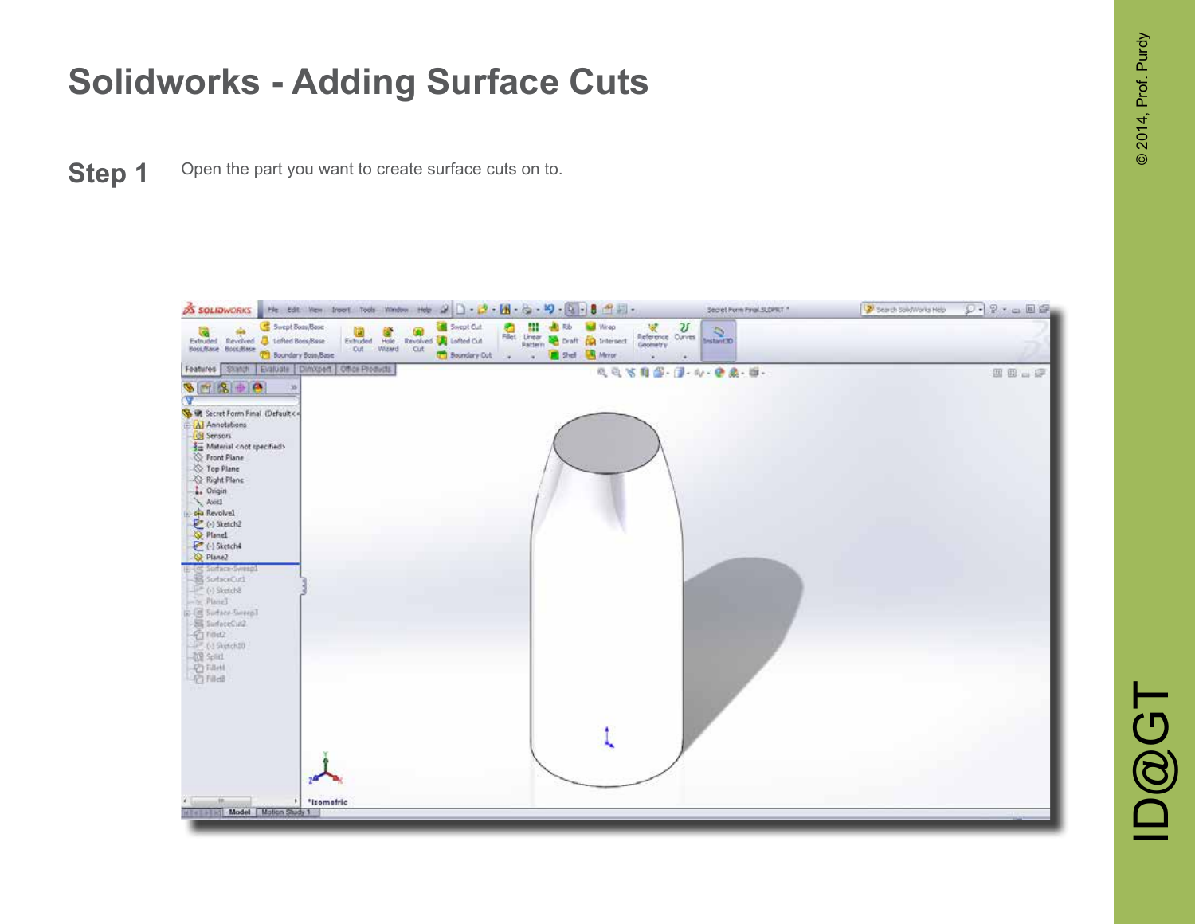**Step 1** Open the part you want to create surface cuts on to.

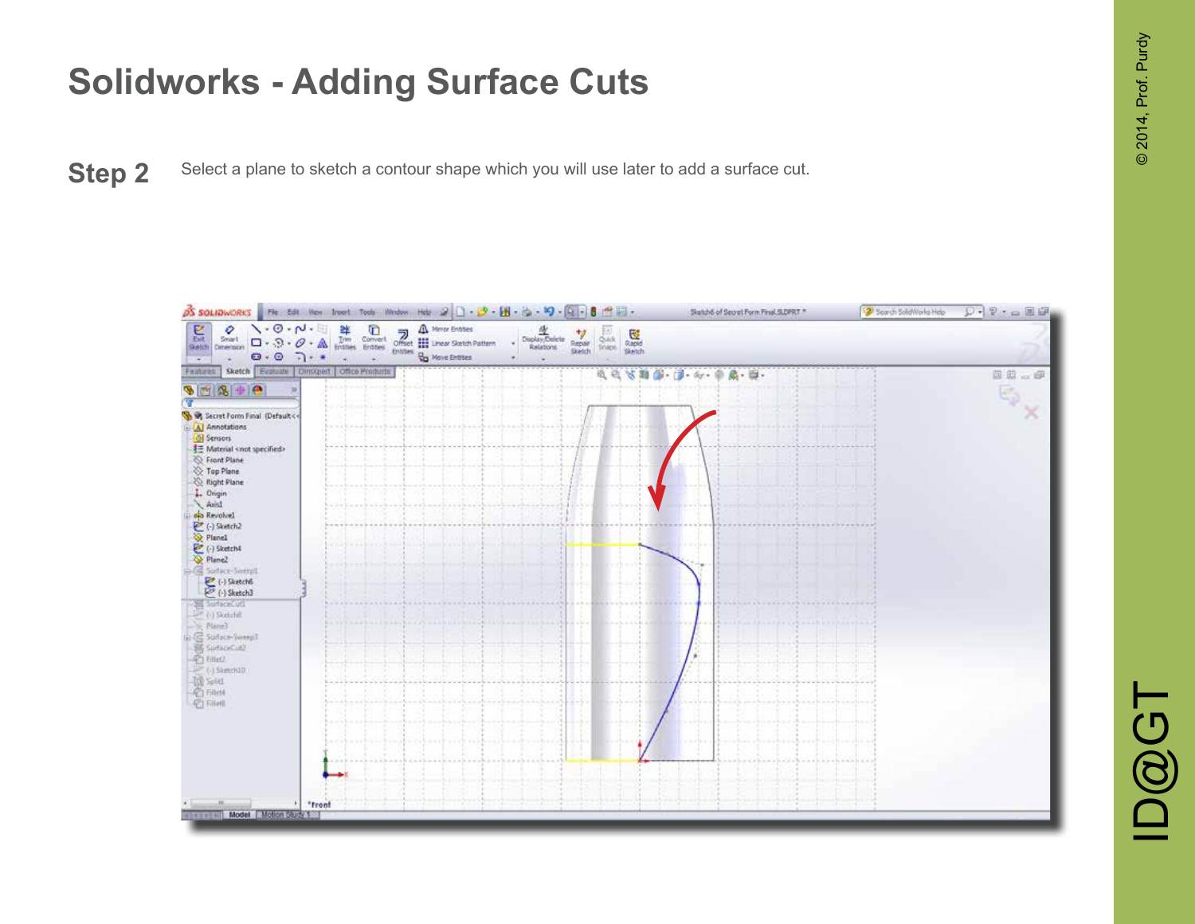**Step 2** Select a plane to sketch a contour shape which you will use later to add a surface cut.

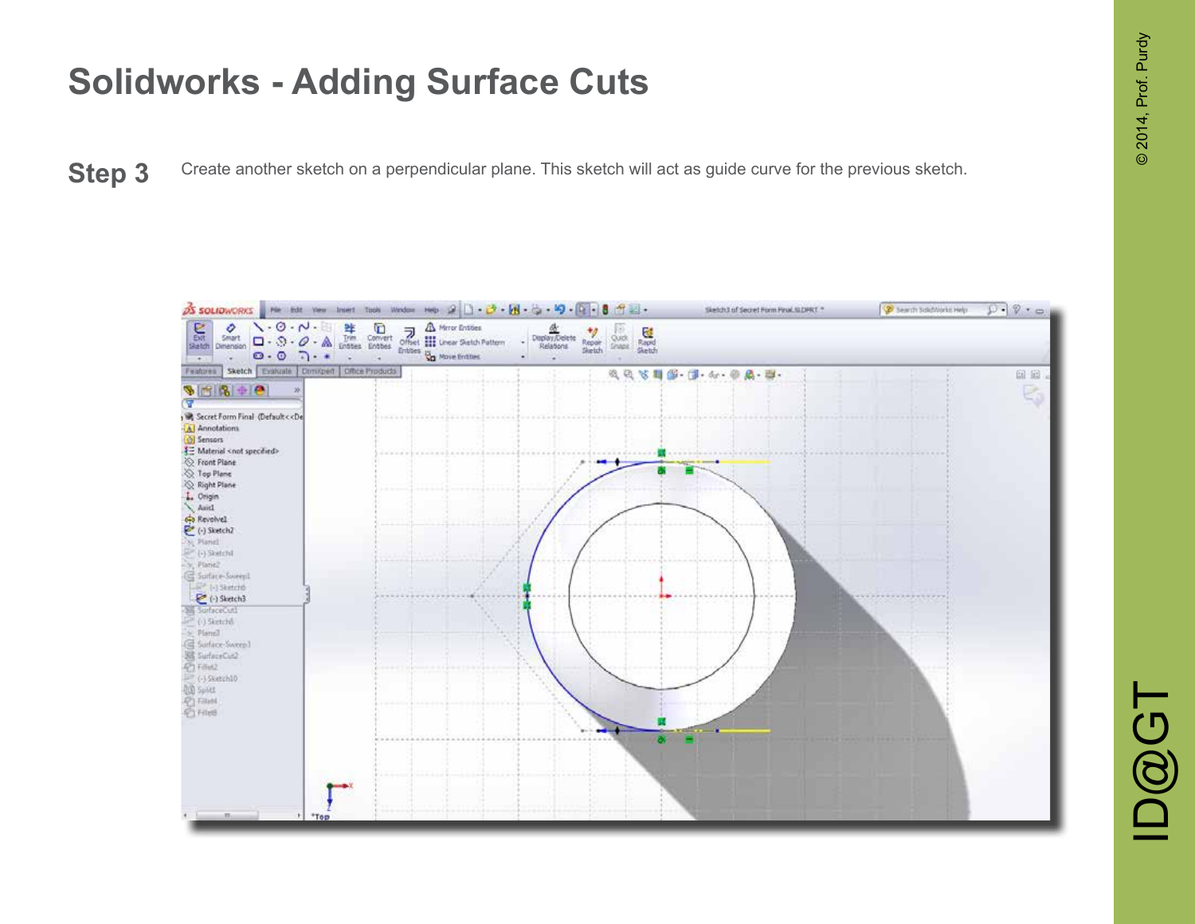Step 3 Create another sketch on a perpendicular plane. This sketch will act as guide curve for the previous sketch.

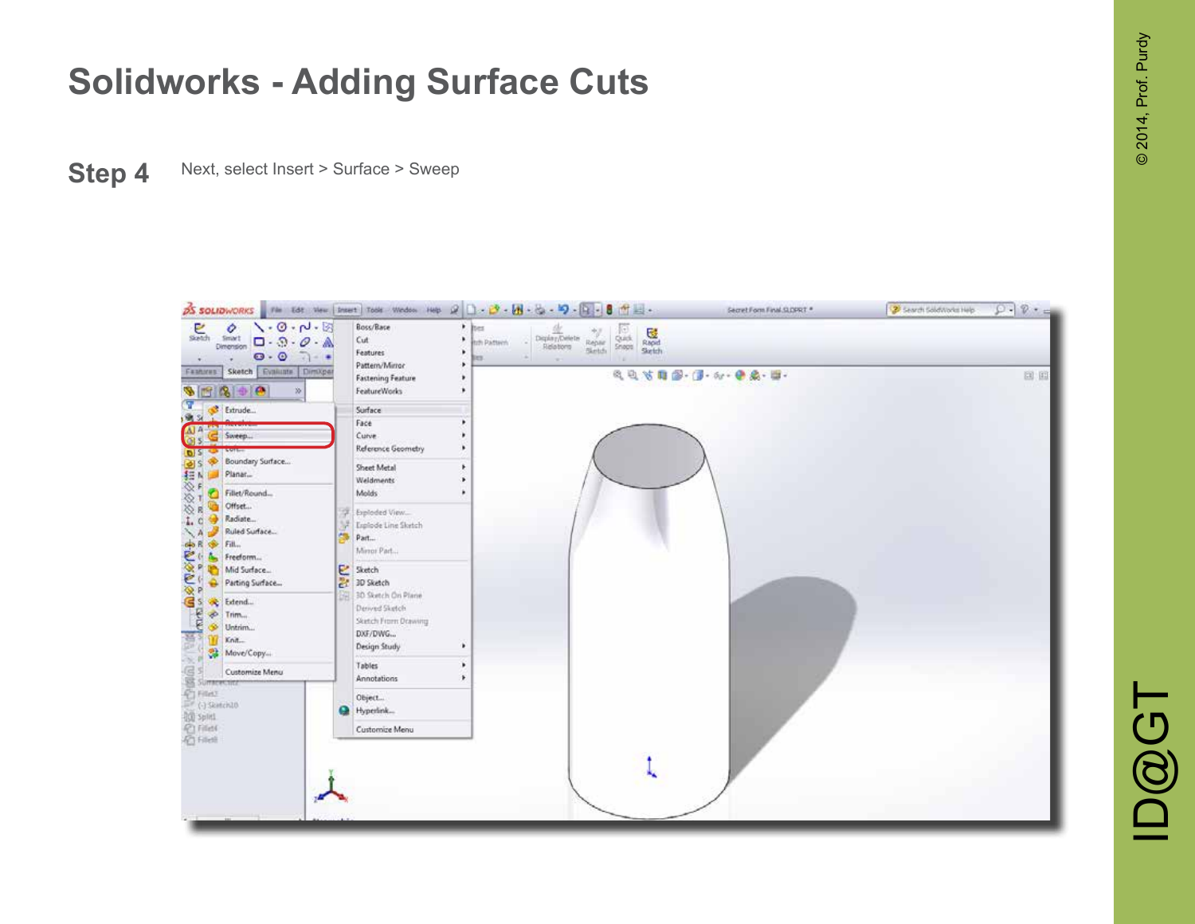**Step 4** Next, select Insert > Surface > Sweep

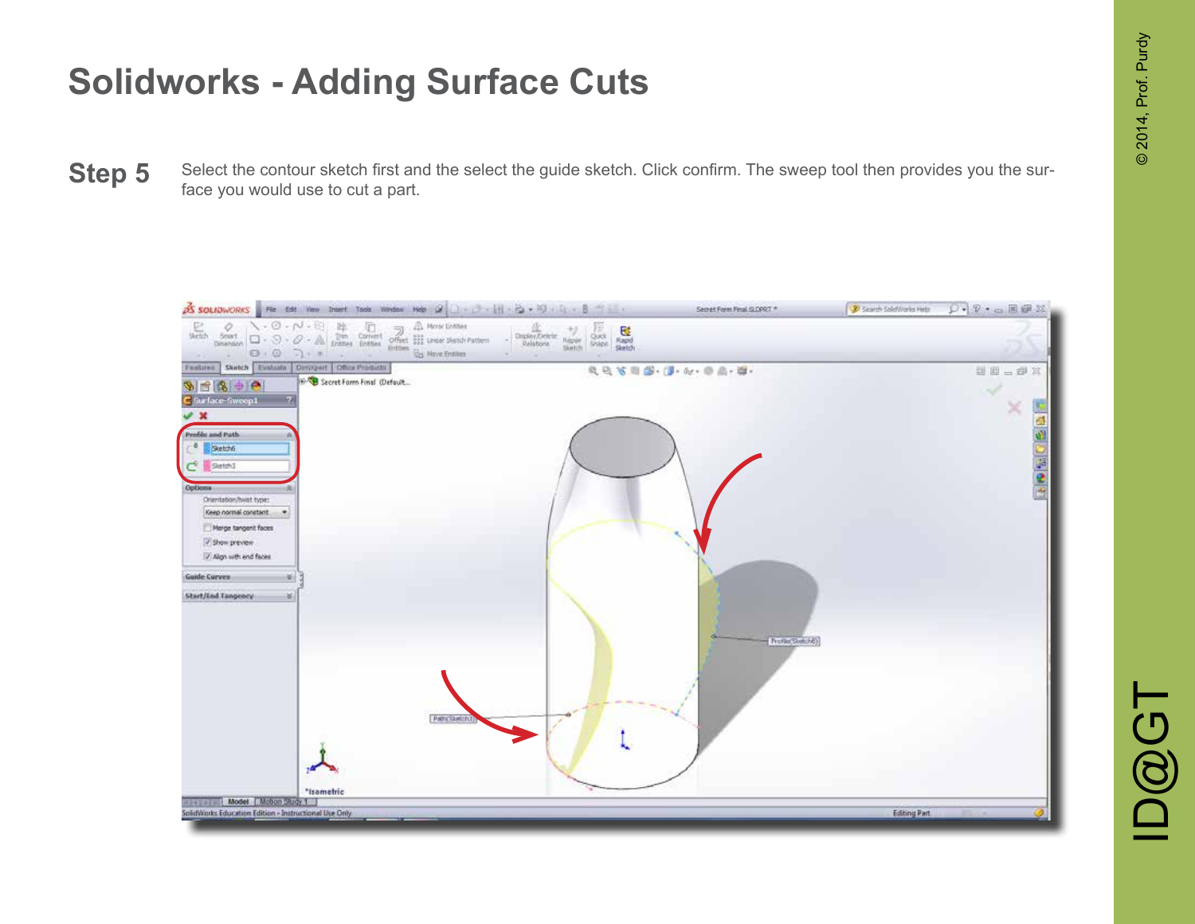Select the contour sketch first and the select the guide sketch. Click confirm. The sweep tool then provides you the sur-**Step 5** Select the contour sketch first an face you would use to cut a part.

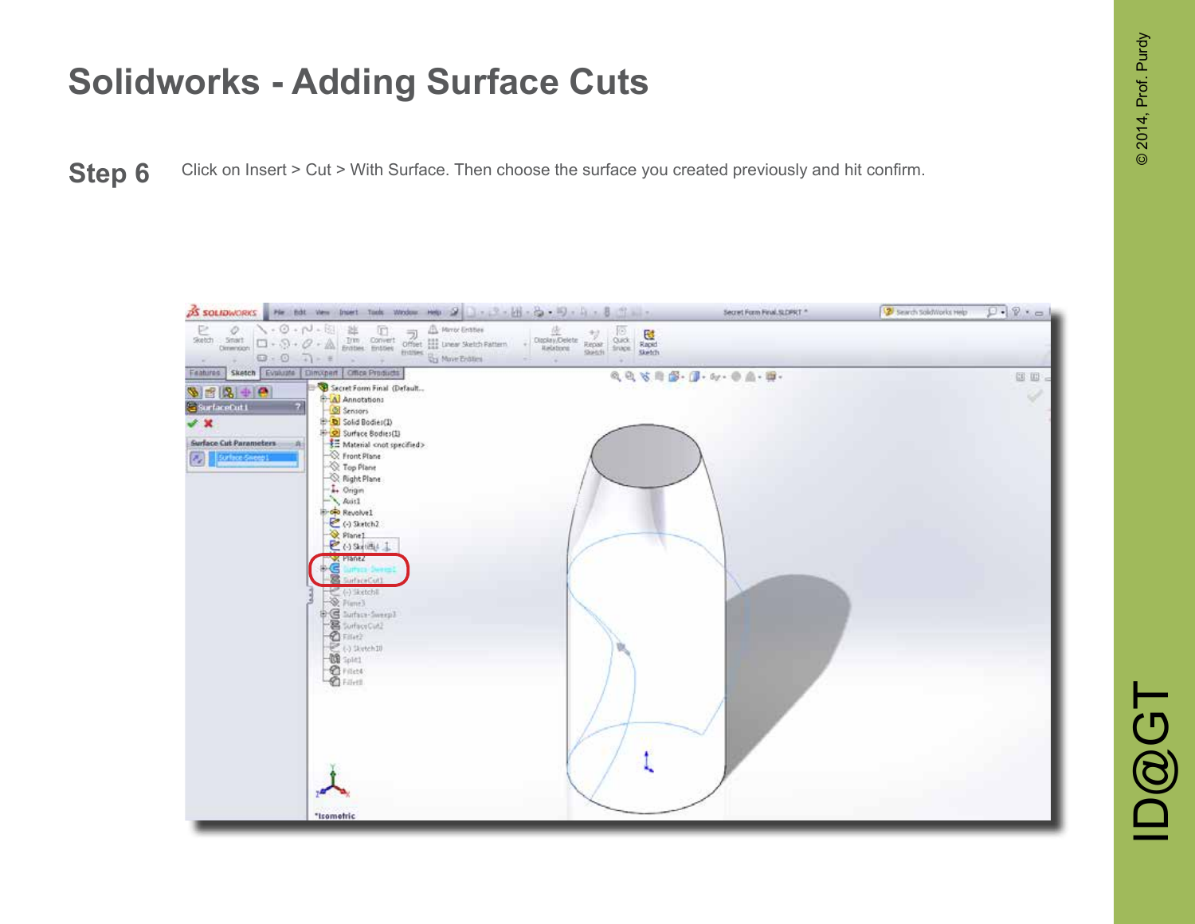Step 6 Click on Insert > Cut > With Surface. Then choose the surface you created previously and hit confirm.

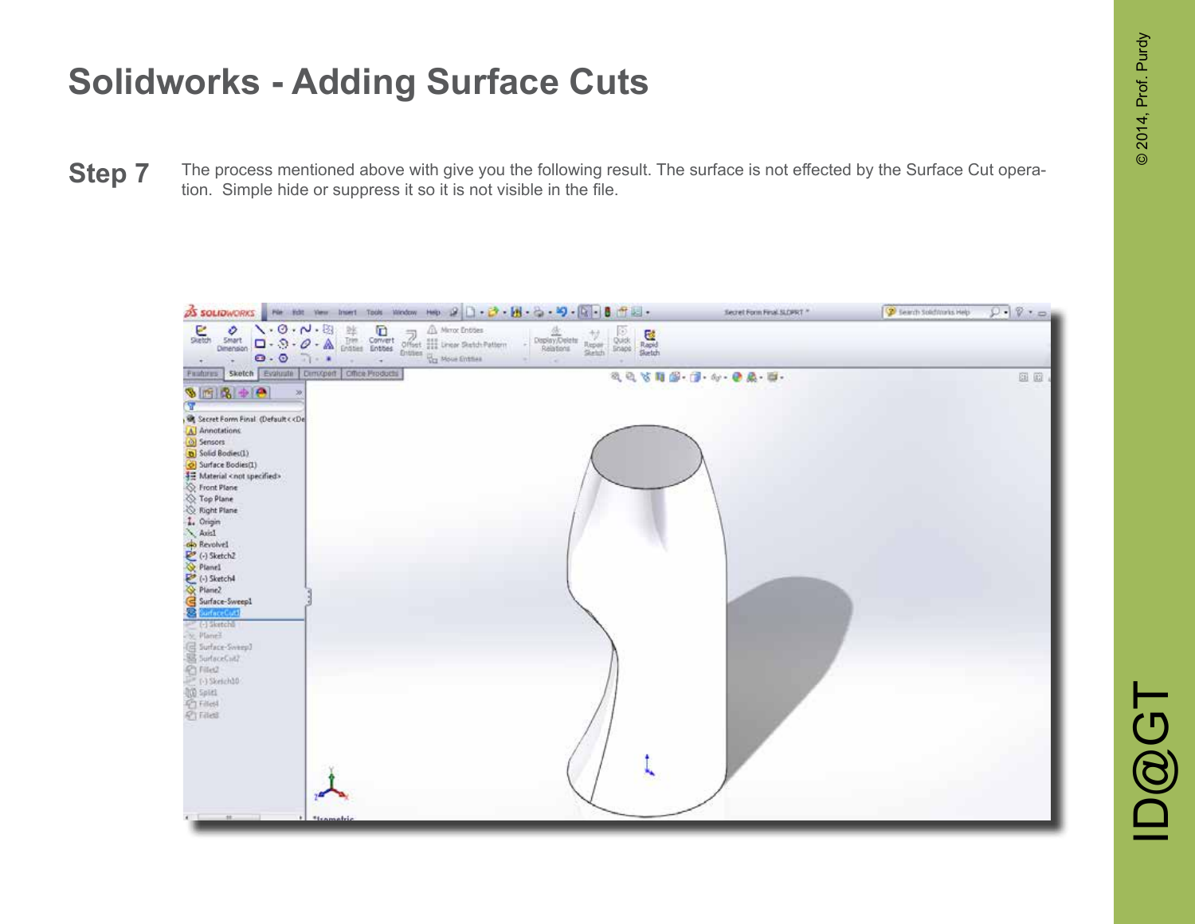The process mentioned above with give you the following result. The surface is not effected by the Surface Cut opera-**Step 7** The process mentioned above with give you the following retion. Simple hide or suppress it so it is not visible in the file.

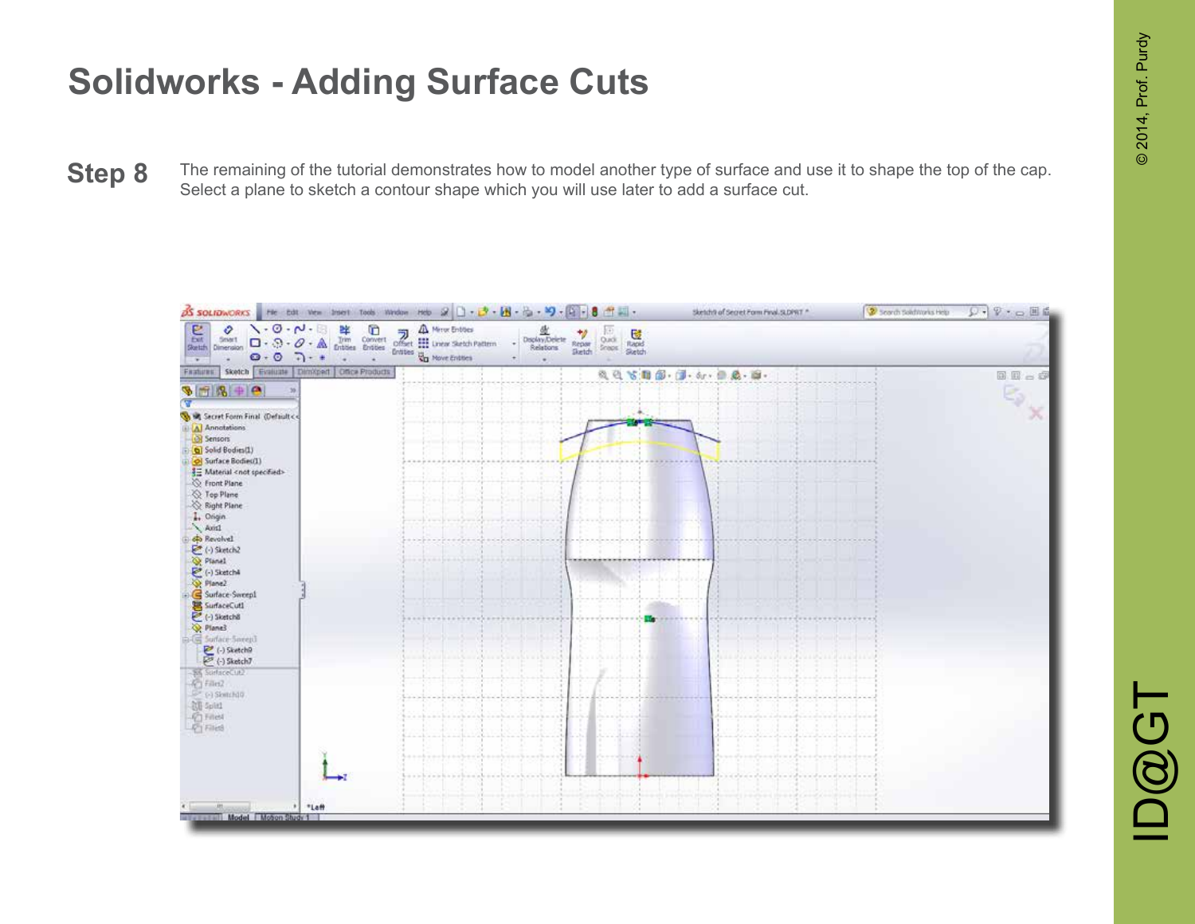The remaining of the tutorial demonstrates how to model another type of surface and use it to shape the top of the cap. **Step 8** The remaining of the tutorial demonstrates how to model another type of surface and use later to add a surface cut.



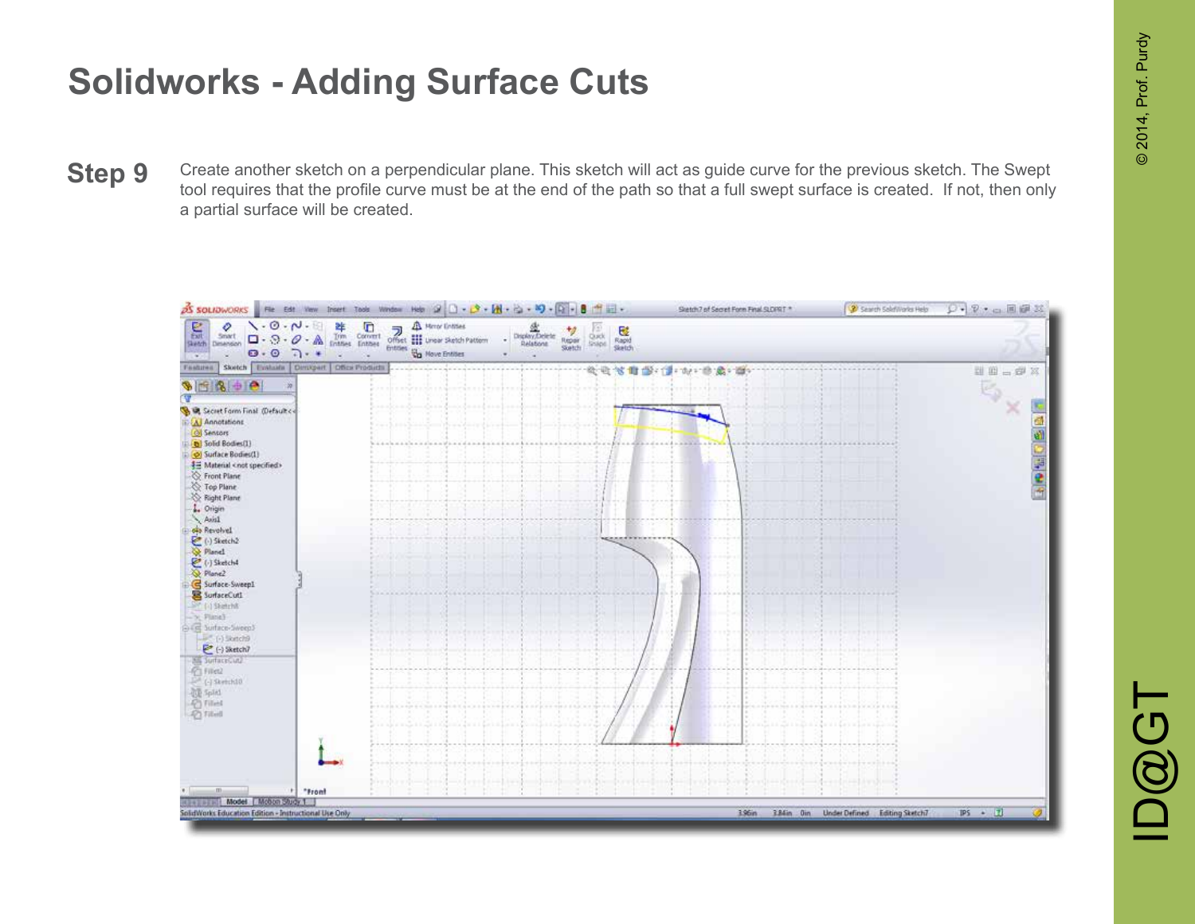Create another sketch on a perpendicular plane. This sketch will act as guide curve for the previous sketch. The Swept tool requires that the profile curve must be at the end of the path so that a full swept surface is created. If not, then only a partial surface will be created. **Step 9**

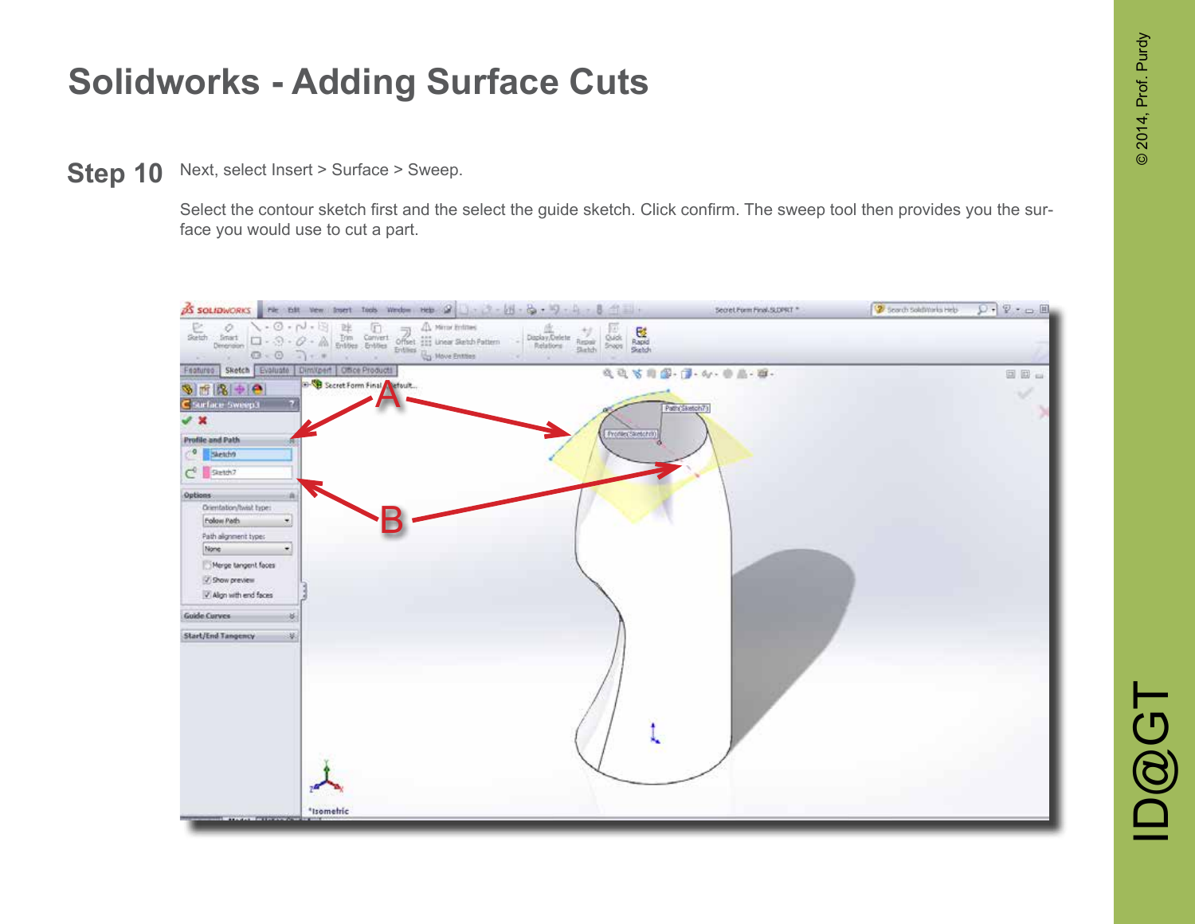Next, select Insert > Surface > Sweep. **Step 10**

> Select the contour sketch first and the select the guide sketch. Click confirm. The sweep tool then provides you the surface you would use to cut a part.

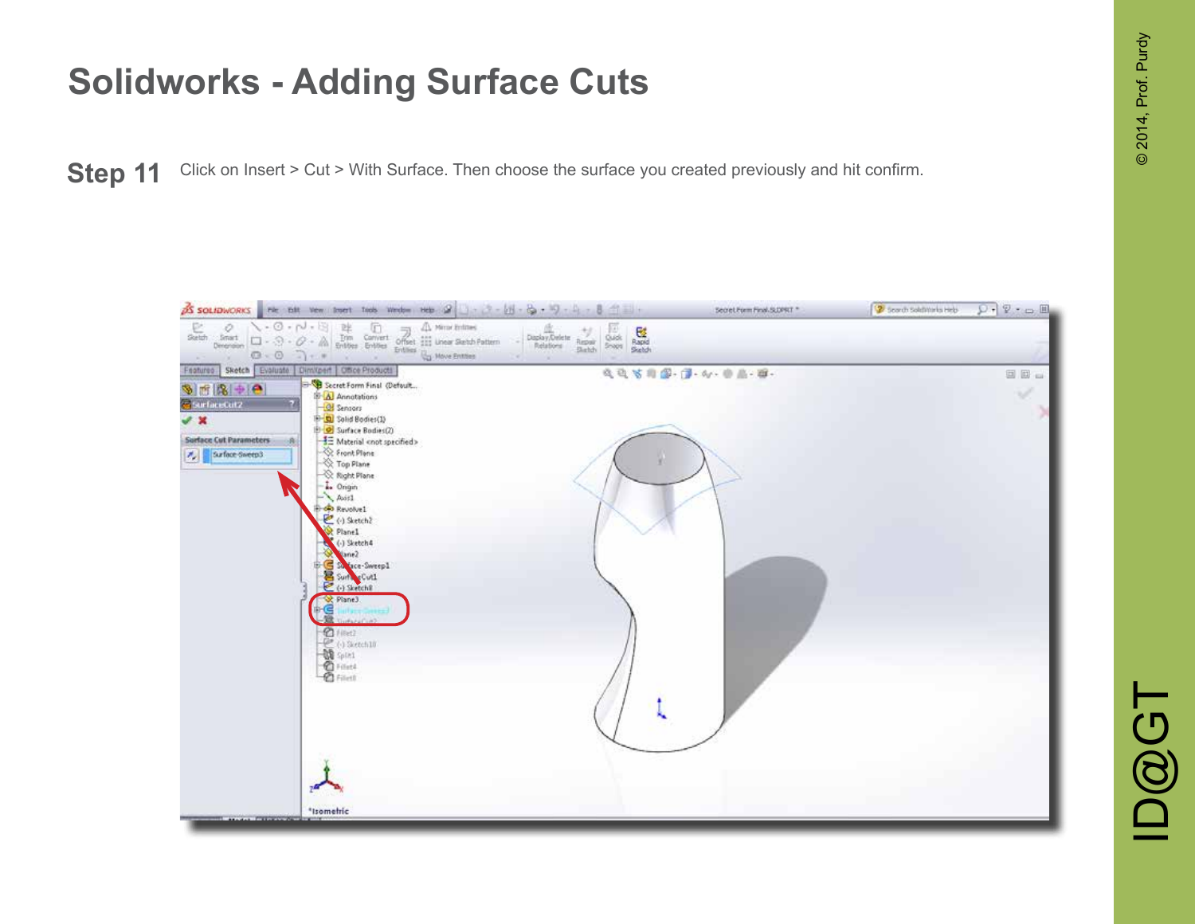Step 11 Click on Insert > Cut > With Surface. Then choose the surface you created previously and hit confirm.

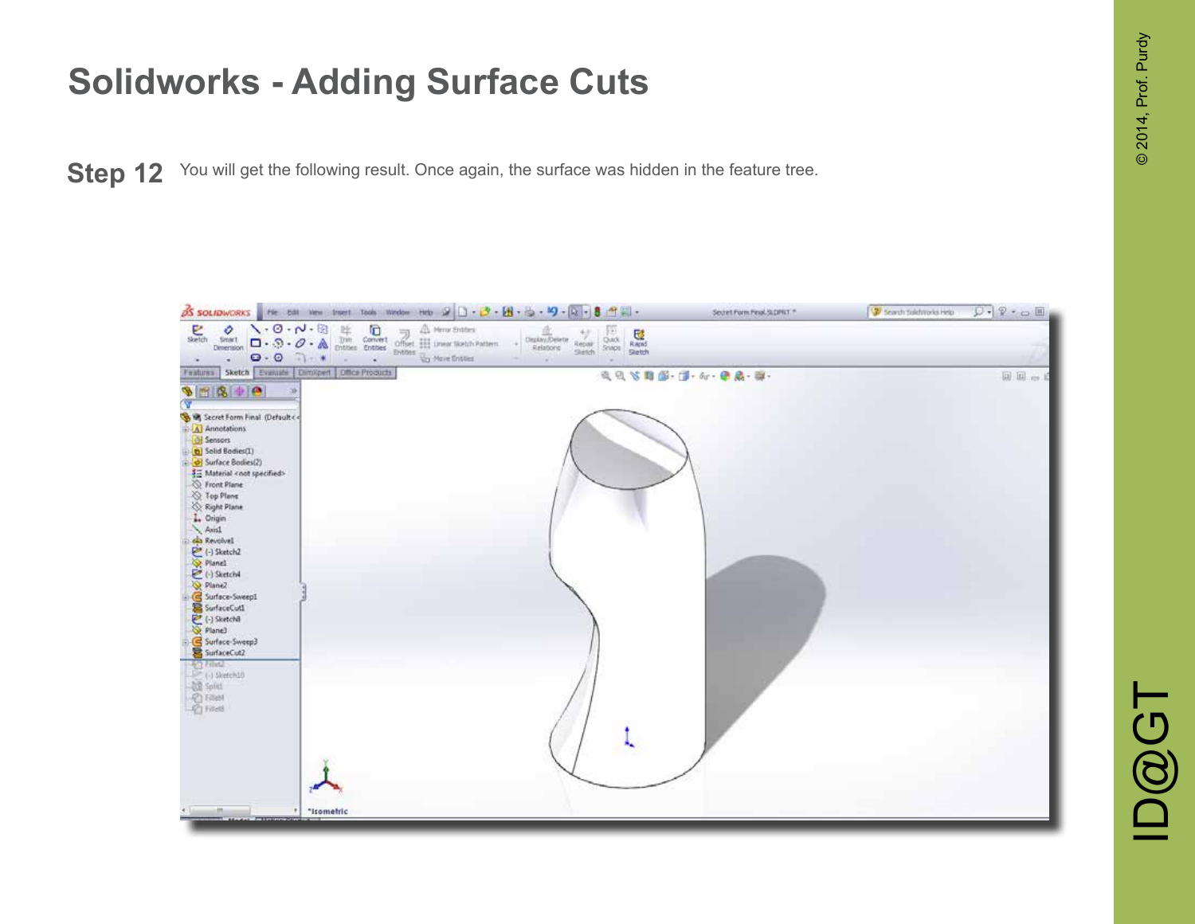**Step 12** You will get the following result. Once again, the surface was hidden in the feature tree.